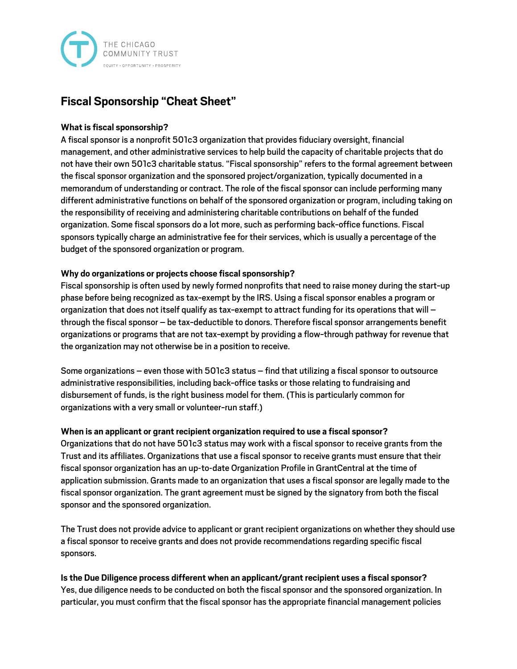

# **Fiscal Sponsorship "Cheat Sheet"**

#### **What is fiscal sponsorship?**

A fiscal sponsor is a nonprofit 501c3 organization that provides fiduciary oversight, financial management, and other administrative services to help build the capacity of charitable projects that do not have their own 501c3 charitable status. "Fiscal sponsorship" refers to the formal agreement between the fiscal sponsor organization and the sponsored project/organization, typically documented in a memorandum of understanding or contract. The role of the fiscal sponsor can include performing many different administrative functions on behalf of the sponsored organization or program, including taking on the responsibility of receiving and administering charitable contributions on behalf of the funded organization. Some fiscal sponsors do a lot more, such as performing back-office functions. Fiscal sponsors typically charge an administrative fee for their services, which is usually a percentage of the budget of the sponsored organization or program.

## **Why do organizations or projects choose fiscal sponsorship?**

Fiscal sponsorship is often used by newly formed nonprofits that need to raise money during the start-up phase before being recognized as tax-exempt by the IRS. Using a fiscal sponsor enables a program or organization that does not itself qualify as tax-exempt to attract funding for its operations that will – through the fiscal sponsor – be tax-deductible to donors. Therefore fiscal sponsor arrangements benefit organizations or programs that are not tax-exempt by providing a flow-through pathway for revenue that the organization may not otherwise be in a position to receive.

Some organizations – even those with 501c3 status – find that utilizing a fiscal sponsor to outsource administrative responsibilities, including back-office tasks or those relating to fundraising and disbursement of funds, is the right business model for them. (This is particularly common for organizations with a very small or volunteer-run staff.)

#### **When is an applicant or grant recipient organization required to use a fiscal sponsor?**

Organizations that do not have 501c3 status may work with a fiscal sponsor to receive grants from the Trust and its affiliates. Organizations that use a fiscal sponsor to receive grants must ensure that their fiscal sponsor organization has an up-to-date Organization Profile in GrantCentral at the time of application submission. Grants made to an organization that uses a fiscal sponsor are legally made to the fiscal sponsor organization. The grant agreement must be signed by the signatory from both the fiscal sponsor and the sponsored organization.

The Trust does not provide advice to applicant or grant recipient organizations on whether they should use a fiscal sponsor to receive grants and does not provide recommendations regarding specific fiscal sponsors.

## **Is the Due Diligence process different when an applicant/grant recipient uses a fiscal sponsor?**

Yes, due diligence needs to be conducted on both the fiscal sponsor and the sponsored organization. In particular, you must confirm that the fiscal sponsor has the appropriate financial management policies